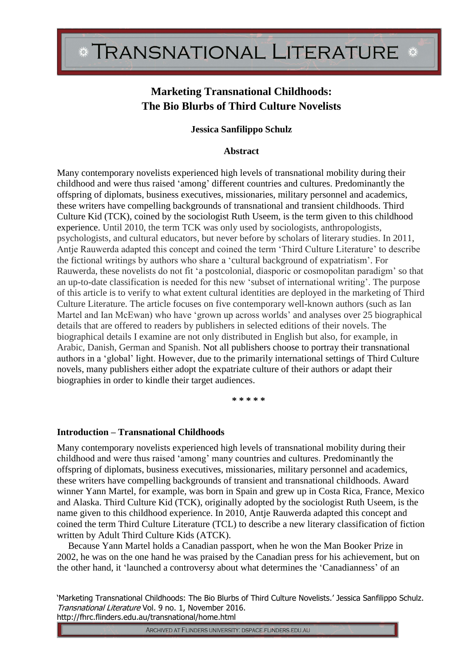# **Marketing Transnational Childhoods: The Bio Blurbs of Third Culture Novelists**

### **Jessica Sanfilippo Schulz**

### **Abstract**

Many contemporary novelists experienced high levels of transnational mobility during their childhood and were thus raised 'among' different countries and cultures. Predominantly the offspring of diplomats, business executives, missionaries, military personnel and academics, these writers have compelling backgrounds of transnational and transient childhoods. Third Culture Kid (TCK), coined by the sociologist Ruth Useem, is the term given to this childhood experience. Until 2010, the term TCK was only used by sociologists, anthropologists, psychologists, and cultural educators, but never before by scholars of literary studies. In 2011, Antje Rauwerda adapted this concept and coined the term 'Third Culture Literature' to describe the fictional writings by authors who share a 'cultural background of expatriatism'. For Rauwerda, these novelists do not fit 'a postcolonial, diasporic or cosmopolitan paradigm' so that an up-to-date classification is needed for this new 'subset of international writing'. The purpose of this article is to verify to what extent cultural identities are deployed in the marketing of Third Culture Literature. The article focuses on five contemporary well-known authors (such as Ian Martel and Ian McEwan) who have 'grown up across worlds' and analyses over 25 biographical details that are offered to readers by publishers in selected editions of their novels. The biographical details I examine are not only distributed in English but also, for example, in Arabic, Danish, German and Spanish. Not all publishers choose to portray their transnational authors in a 'global' light. However, due to the primarily international settings of Third Culture novels, many publishers either adopt the expatriate culture of their authors or adapt their biographies in order to kindle their target audiences.

**\* \* \* \* \***

### **Introduction – Transnational Childhoods**

Many contemporary novelists experienced high levels of transnational mobility during their childhood and were thus raised 'among' many countries and cultures. Predominantly the offspring of diplomats, business executives, missionaries, military personnel and academics, these writers have compelling backgrounds of transient and transnational childhoods. Award winner Yann Martel, for example, was born in Spain and grew up in Costa Rica, France, Mexico and Alaska. Third Culture Kid (TCK), originally adopted by the sociologist Ruth Useem, is the name given to this childhood experience. In 2010, Antje Rauwerda adapted this concept and coined the term Third Culture Literature (TCL) to describe a new literary classification of fiction written by Adult Third Culture Kids (ATCK).

Because Yann Martel holds a Canadian passport, when he won the Man Booker Prize in 2002, he was on the one hand he was praised by the Canadian press for his achievement, but on the other hand, it 'launched a controversy about what determines the 'Canadianness' of an

'Marketing Transnational Childhoods: The Bio Blurbs of Third Culture Novelists.' Jessica Sanfilippo Schulz. Transnational Literature Vol. 9 no. 1, November 2016. http://fhrc.flinders.edu.au/transnational/home.html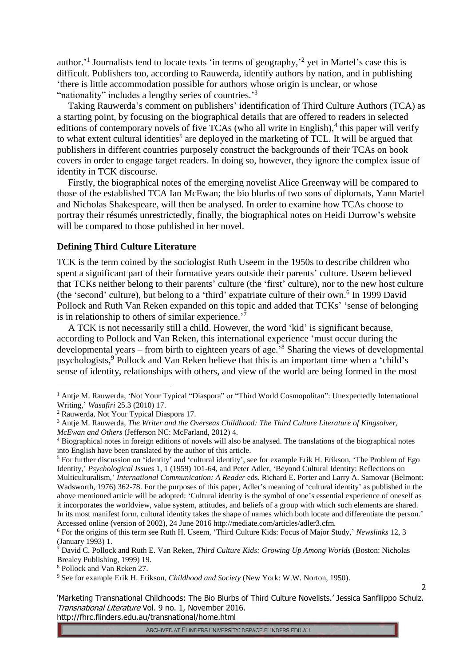author.<sup>1</sup> Journalists tend to locate texts 'in terms of geography,<sup>2</sup> yet in Martel's case this is difficult. Publishers too, according to Rauwerda, identify authors by nation, and in publishing 'there is little accommodation possible for authors whose origin is unclear, or whose "nationality" includes a lengthy series of countries."

Taking Rauwerda's comment on publishers' identification of Third Culture Authors (TCA) as a starting point, by focusing on the biographical details that are offered to readers in selected editions of contemporary novels of five TCAs (who all write in English),<sup>4</sup> this paper will verify to what extent cultural identities<sup>5</sup> are deployed in the marketing of TCL. It will be argued that publishers in different countries purposely construct the backgrounds of their TCAs on book covers in order to engage target readers. In doing so, however, they ignore the complex issue of identity in TCK discourse.

Firstly, the biographical notes of the emerging novelist Alice Greenway will be compared to those of the established TCA Ian McEwan; the bio blurbs of two sons of diplomats, Yann Martel and Nicholas Shakespeare, will then be analysed. In order to examine how TCAs choose to portray their résumés unrestrictedly, finally, the biographical notes on Heidi Durrow's website will be compared to those published in her novel.

### **Defining Third Culture Literature**

TCK is the term coined by the sociologist Ruth Useem in the 1950s to describe children who spent a significant part of their formative years outside their parents' culture. Useem believed that TCKs neither belong to their parents' culture (the 'first' culture), nor to the new host culture (the 'second' culture), but belong to a 'third' expatriate culture of their own.<sup>6</sup> In 1999 David Pollock and Ruth Van Reken expanded on this topic and added that TCKs' 'sense of belonging is in relationship to others of similar experience.<sup>7</sup>

A TCK is not necessarily still a child. However, the word 'kid' is significant because, according to Pollock and Van Reken, this international experience 'must occur during the developmental years – from birth to eighteen years of age.' <sup>8</sup> Sharing the views of developmental psychologists,<sup>9</sup> Pollock and Van Reken believe that this is an important time when a 'child's sense of identity, relationships with others, and view of the world are being formed in the most

-

 $\overline{2}$ 

<sup>&</sup>lt;sup>1</sup> Antje M. Rauwerda, 'Not Your Typical "Diaspora" or "Third World Cosmopolitan": Unexpectedly International Writing,' *Wasafiri* 25.3 (2010) 17.

<sup>2</sup> Rauwerda, Not Your Typical Diaspora 17.

<sup>3</sup> Antje M. Rauwerda, *The Writer and the Overseas Childhood: The Third Culture Literature of Kingsolver, McEwan and Others* (Jefferson NC: McFarland, 2012) 4.

<sup>4</sup> Biographical notes in foreign editions of novels will also be analysed. The translations of the biographical notes into English have been translated by the author of this article.

<sup>5</sup> For further discussion on 'identity' and 'cultural identity', see for example Erik H. Erikson, 'The Problem of Ego Identity,' *Psychological Issues* 1, 1 (1959) 101-64, and Peter Adler, 'Beyond Cultural Identity: Reflections on Multiculturalism,' *International Communication: A Reader* eds. Richard E. Porter and Larry A. Samovar (Belmont: Wadsworth, 1976) 362-78. For the purposes of this paper, Adler's meaning of 'cultural identity' as published in the above mentioned article will be adopted: 'Cultural identity is the symbol of one's essential experience of oneself as it incorporates the worldview, value system, attitudes, and beliefs of a group with which such elements are shared. In its most manifest form, cultural identity takes the shape of names which both locate and differentiate the person.' Accessed online (version of 2002), 24 June 2016 http://mediate.com/articles/adler3.cfm.

<sup>6</sup> For the origins of this term see Ruth H. Useem, 'Third Culture Kids: Focus of Major Study,' *Newslinks* 12, 3 (January 1993) 1.

<sup>7</sup> David C. Pollock and Ruth E. Van Reken, *Third Culture Kids: Growing Up Among Worlds* (Boston: Nicholas Brealey Publishing, 1999) 19.

<sup>8</sup> Pollock and Van Reken 27.

<sup>9</sup> See for example Erik H. Erikson, *Childhood and Society* (New York: W.W. Norton, 1950).

<sup>&#</sup>x27;Marketing Transnational Childhoods: The Bio Blurbs of Third Culture Novelists.' Jessica Sanfilippo Schulz. Transnational Literature Vol. 9 no. 1, November 2016. http://fhrc.flinders.edu.au/transnational/home.html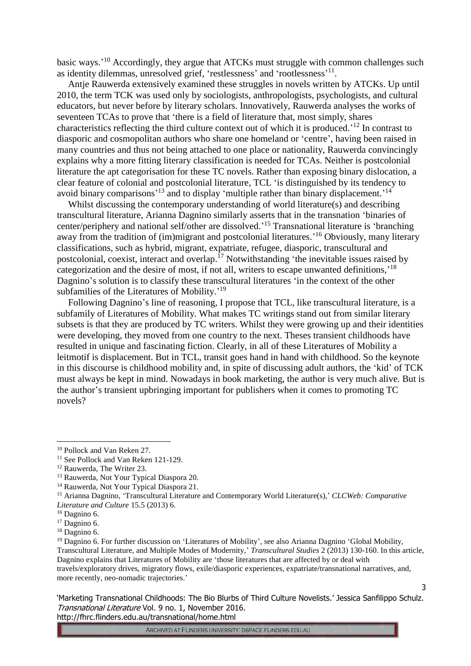basic ways.<sup>'10</sup> Accordingly, they argue that ATCKs must struggle with common challenges such as identity dilemmas, unresolved grief, 'restlessness' and 'rootlessness'<sup>11</sup>.

Antje Rauwerda extensively examined these struggles in novels written by ATCKs. Up until 2010, the term TCK was used only by sociologists, anthropologists, psychologists, and cultural educators, but never before by literary scholars. Innovatively, Rauwerda analyses the works of seventeen TCAs to prove that 'there is a field of literature that, most simply, shares characteristics reflecting the third culture context out of which it is produced.' <sup>12</sup> In contrast to diasporic and cosmopolitan authors who share one homeland or 'centre', having been raised in many countries and thus not being attached to one place or nationality, Rauwerda convincingly explains why a more fitting literary classification is needed for TCAs. Neither is postcolonial literature the apt categorisation for these TC novels. Rather than exposing binary dislocation, a clear feature of colonial and postcolonial literature, TCL 'is distinguished by its tendency to avoid binary comparisons<sup>'13</sup> and to display 'multiple rather than binary displacement.<sup>'14</sup>

Whilst discussing the contemporary understanding of world literature(s) and describing transcultural literature, Arianna Dagnino similarly asserts that in the transnation 'binaries of center/periphery and national self/other are dissolved.' <sup>15</sup> Transnational literature is 'branching away from the tradition of (im)migrant and postcolonial literatures.<sup>'16</sup> Obviously, many literary classifications, such as hybrid, migrant, expatriate, refugee, diasporic, transcultural and postcolonial, coexist, interact and overlap.<sup>17</sup> Notwithstanding 'the inevitable issues raised by categorization and the desire of most, if not all, writers to escape unwanted definitions,<sup>18</sup> Dagnino's solution is to classify these transcultural literatures 'in the context of the other subfamilies of the Literatures of Mobility.'<sup>19</sup>

Following Dagnino's line of reasoning, I propose that TCL, like transcultural literature, is a subfamily of Literatures of Mobility. What makes TC writings stand out from similar literary subsets is that they are produced by TC writers. Whilst they were growing up and their identities were developing, they moved from one country to the next. Theses transient childhoods have resulted in unique and fascinating fiction. Clearly, in all of these Literatures of Mobility a leitmotif is displacement. But in TCL, transit goes hand in hand with childhood. So the keynote in this discourse is childhood mobility and, in spite of discussing adult authors, the 'kid' of TCK must always be kept in mind. Nowadays in book marketing, the author is very much alive. But is the author's transient upbringing important for publishers when it comes to promoting TC novels?

-

'Marketing Transnational Childhoods: The Bio Blurbs of Third Culture Novelists.' Jessica Sanfilippo Schulz. Transnational Literature Vol. 9 no. 1, November 2016. http://fhrc.flinders.edu.au/transnational/home.html

<sup>10</sup> Pollock and Van Reken 27.

<sup>&</sup>lt;sup>11</sup> See Pollock and Van Reken 121-129.

<sup>12</sup> Rauwerda, The Writer 23.

<sup>13</sup> Rauwerda, Not Your Typical Diaspora 20.

<sup>&</sup>lt;sup>14</sup> Rauwerda, Not Your Typical Diaspora 21.

<sup>15</sup> Arianna Dagnino, 'Transcultural Literature and Contemporary World Literature(s),' *CLCWeb: Comparative Literature and Culture* 15.5 (2013) 6.

<sup>&</sup>lt;sup>16</sup> Dagnino 6.

<sup>&</sup>lt;sup>17</sup> Dagnino 6.

<sup>18</sup> Dagnino 6.

<sup>3</sup> <sup>19</sup> Dagnino 6. For further discussion on 'Literatures of Mobility', see also Arianna Dagnino 'Global Mobility, Transcultural Literature, and Multiple Modes of Modernity,' *Transcultural Studies* 2 (2013) 130-160. In this article, Dagnino explains that Literatures of Mobility are 'those literatures that are affected by or deal with travels/exploratory drives, migratory flows, exile/diasporic experiences, expatriate/transnational narratives, and, more recently, neo-nomadic trajectories.'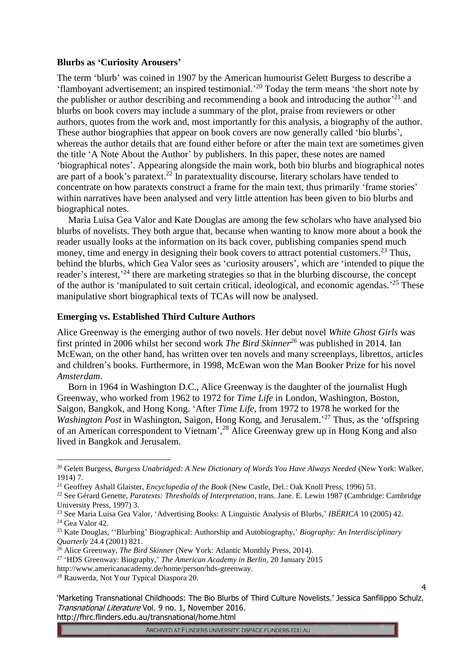#### **Blurbs as 'Curiosity Arousers'**

The term 'blurb' was coined in 1907 by the American humourist Gelett Burgess to describe a 'flamboyant advertisement; an inspired testimonial.' <sup>20</sup> Today the term means 'the short note by the publisher or author describing and recommending a book and introducing the author<sup> $21$ </sup> and blurbs on book covers may include a summary of the plot, praise from reviewers or other authors, quotes from the work and, most importantly for this analysis, a biography of the author. These author biographies that appear on book covers are now generally called 'bio blurbs', whereas the author details that are found either before or after the main text are sometimes given the title 'A Note About the Author' by publishers. In this paper, these notes are named 'biographical notes'. Appearing alongside the main work, both bio blurbs and biographical notes are part of a book's paratext.<sup>22</sup> In paratextuality discourse, literary scholars have tended to concentrate on how paratexts construct a frame for the main text, thus primarily 'frame stories' within narratives have been analysed and very little attention has been given to bio blurbs and biographical notes.

Maria Luisa Gea Valor and Kate Douglas are among the few scholars who have analysed bio blurbs of novelists. They both argue that, because when wanting to know more about a book the reader usually looks at the information on its back cover, publishing companies spend much money, time and energy in designing their book covers to attract potential customers.<sup>23</sup> Thus, behind the blurbs, which Gea Valor sees as 'curiosity arousers', which are 'intended to pique the reader's interest,<sup>24</sup> there are marketing strategies so that in the blurbing discourse, the concept of the author is 'manipulated to suit certain critical, ideological, and economic agendas.<sup>25</sup> These manipulative short biographical texts of TCAs will now be analysed.

#### **Emerging vs. Established Third Culture Authors**

Alice Greenway is the emerging author of two novels. Her debut novel *White Ghost Girls* was first printed in 2006 whilst her second work *The Bird Skinner<sup>26</sup>* was published in 2014. Ian McEwan, on the other hand, has written over ten novels and many screenplays, librettos, articles and children's books. Furthermore, in 1998, McEwan won the Man Booker Prize for his novel *Amsterdam*.

Born in 1964 in Washington D.C., Alice Greenway is the daughter of the journalist Hugh Greenway, who worked from 1962 to 1972 for *Time Life* in London, Washington, Boston, Saigon, Bangkok, and Hong Kong. 'After *Time Life*, from 1972 to 1978 he worked for the *Washington Post* in Washington, Saigon, Hong Kong, and Jerusalem.' <sup>27</sup> Thus, as the 'offspring of an American correspondent to Vietnam', <sup>28</sup> Alice Greenway grew up in Hong Kong and also lived in Bangkok and Jerusalem.

<u>.</u>

<sup>20</sup> Gelett Burgess, *Burgess Unabridged: A New Dictionary of Words You Have Always Needed* (New York: Walker, 1914) 7.

<sup>21</sup> Geoffrey Ashall Glaister, *Encyclopedia of the Book* (New Castle, Del.: Oak Knoll Press, 1996) 51.

<sup>22</sup> See Gérard Genette, *Paratexts: Thresholds of Interpretation*, trans. Jane. E. Lewin 1987 (Cambridge: Cambridge University Press, 1997) 3.

<sup>23</sup> See Maria Luisa Gea Valor, 'Advertising Books: A Linguistic Analysis of Blurbs,' *IBÉRICA* 10 (2005) 42.

<sup>24</sup> Gea Valor 42.

<sup>25</sup> Kate Douglas, ''Blurbing' Biographical: Authorship and Autobiography,' *Biography: An Interdisciplinary Quarterly* 24.4 (2001) 821.

<sup>&</sup>lt;sup>26</sup> Alice Greenway, *The Bird Skinner* (New York: Atlantic Monthly Press, 2014).

<sup>27</sup> 'HDS Greenway: Biography,' *The American Academy in Berlin*, 20 January 2015

http://www.americanacademy.de/home/person/hds-greenway.

<sup>28</sup> Rauwerda, Not Your Typical Diaspora 20.

<sup>&#</sup>x27;Marketing Transnational Childhoods: The Bio Blurbs of Third Culture Novelists.' Jessica Sanfilippo Schulz. Transnational Literature Vol. 9 no. 1, November 2016. http://fhrc.flinders.edu.au/transnational/home.html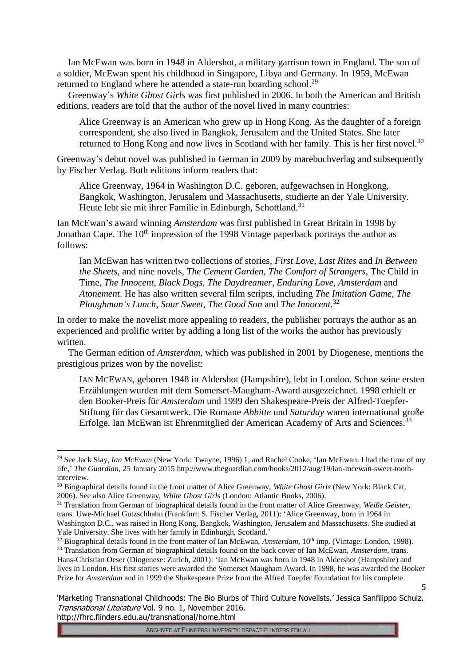Ian McEwan was born in 1948 in Aldershot, a military garrison town in England. The son of a soldier, McEwan spent his childhood in Singapore, Libya and Germany. In 1959, McEwan returned to England where he attended a state-run boarding school.<sup>29</sup>

Greenway's *White Ghost Girls* was first published in 2006. In both the American and British editions, readers are told that the author of the novel lived in many countries:

Alice Greenway is an American who grew up in Hong Kong. As the daughter of a foreign correspondent, she also lived in Bangkok, Jerusalem and the United States. She later returned to Hong Kong and now lives in Scotland with her family. This is her first novel.<sup>30</sup>

Greenway's debut novel was published in German in 2009 by marebuchverlag and subsequently by Fischer Verlag. Both editions inform readers that:

Alice Greenway, 1964 in Washington D.C. geboren, aufgewachsen in Hongkong, Bangkok, Washington, Jerusalem und Massachusetts, studierte an der Yale University. Heute lebt sie mit ihrer Familie in Edinburgh, Schottland.<sup>31</sup>

Ian McEwan's award winning *Amsterdam* was first published in Great Britain in 1998 by Jonathan Cape. The  $10<sup>th</sup>$  impression of the 1998 Vintage paperback portrays the author as follows:

Ian McEwan has written two collections of stories, *First Love*, *Last Rites* and *In Between the Sheets*, and nine novels, *The Cement Garden*, *The Comfort of Strangers*, The Child in Time, *The Innocent*, *Black Dogs*, *The Daydreamer*, *Enduring Love*, *Amsterdam* and *Atonement*. He has also written several film scripts, including *The Imitation Game*, *The Ploughman's Lunch*, *Sour Sweet*, *The Good Son* and *The Innocent*. 32

In order to make the novelist more appealing to readers, the publisher portrays the author as an experienced and prolific writer by adding a long list of the works the author has previously written.

The German edition of *Amsterdam*, which was published in 2001 by Diogenese, mentions the prestigious prizes won by the novelist:

IAN MCEWAN, geboren 1948 in Aldershot (Hampshire), lebt in London. Schon seine ersten Erzählungen wurden mit dem Somerset-Maugham-Award ausgezeichnet. 1998 erhielt er den Booker-Preis für *Amsterdam* und 1999 den Shakespeare-Preis der Alfred-Toepfer-Stiftung für das Gesamtwerk. Die Romane *Abbitte* und *Saturday* waren international große Erfolge. Ian McEwan ist Ehrenmitglied der American Academy of Arts and Sciences.<sup>33</sup>

<u>.</u>

<sup>&</sup>lt;sup>29</sup> See Jack Slay, *Ian McEwan* (New York: Twayne, 1996) 1, and Rachel Cooke, 'Ian McEwan: I had the time of my life,' *The Guardian*, 25 January 2015 http://www.theguardian.com/books/2012/aug/19/ian-mcewan-sweet-toothinterview.

<sup>30</sup> Biographical details found in the front matter of Alice Greenway, *White Ghost Girls* (New York: Black Cat, 2006). See also Alice Greenway, *White Ghost Girls* (London: Atlantic Books, 2006).

<sup>31</sup> Translation from German of biographical details found in the front matter of Alice Greenway, *Weiße Geister,*  trans. Uwe-Michael Gutzschhahn (Frankfurt: S. Fischer Verlag, 2011): 'Alice Greenway, born in 1964 in Washington D.C., was raised in Hong Kong, Bangkok, Washington, Jerusalem and Massachusetts. She studied at Yale University. She lives with her family in Edinburgh, Scotland.'

<sup>&</sup>lt;sup>32</sup> Biographical details found in the front matter of Ian McEwan, *Amsterdam*, 10<sup>th</sup> imp. (Vintage: London, 1998).

<sup>33</sup> Translation from German of biographical details found on the back cover of Ian McEwan, *Amsterdam*, trans. Hans-Christian Oeser (Diogenese: Zurich, 2001): 'Ian McEwan was born in 1948 in Aldershot (Hampshire) and lives in London. His first stories were awarded the Somerset Maugham Award. In 1998, he was awarded the Booker Prize for *Amsterdam* and in 1999 the Shakespeare Prize from the Alfred Toepfer Foundation for his complete

<sup>&#</sup>x27;Marketing Transnational Childhoods: The Bio Blurbs of Third Culture Novelists.' Jessica Sanfilippo Schulz. Transnational Literature Vol. 9 no. 1, November 2016. http://fhrc.flinders.edu.au/transnational/home.html

ARCHIVED AT FLINDERS UNIVERSITY: DSPACE.FLINDERS.EDU.AU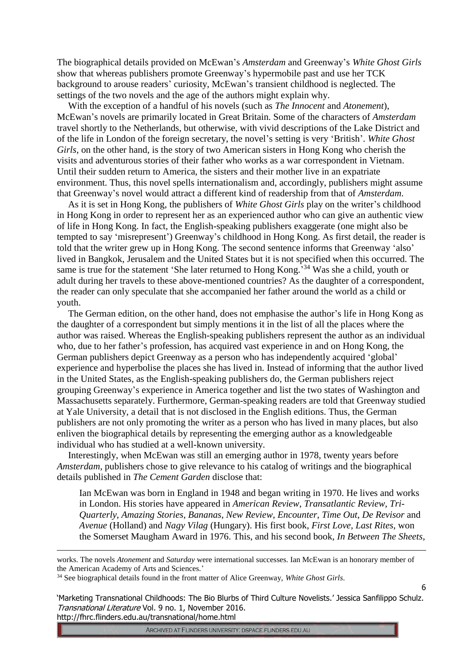The biographical details provided on McEwan's *Amsterdam* and Greenway's *White Ghost Girls* show that whereas publishers promote Greenway's hypermobile past and use her TCK background to arouse readers' curiosity, McEwan's transient childhood is neglected. The settings of the two novels and the age of the authors might explain why.

With the exception of a handful of his novels (such as *The Innocent* and *Atonement*), McEwan's novels are primarily located in Great Britain. Some of the characters of *Amsterdam* travel shortly to the Netherlands, but otherwise, with vivid descriptions of the Lake District and of the life in London of the foreign secretary, the novel's setting is very 'British'. *White Ghost Girls*, on the other hand, is the story of two American sisters in Hong Kong who cherish the visits and adventurous stories of their father who works as a war correspondent in Vietnam. Until their sudden return to America, the sisters and their mother live in an expatriate environment. Thus, this novel spells internationalism and, accordingly, publishers might assume that Greenway's novel would attract a different kind of readership from that of *Amsterdam*.

As it is set in Hong Kong, the publishers of *White Ghost Girls* play on the writer's childhood in Hong Kong in order to represent her as an experienced author who can give an authentic view of life in Hong Kong. In fact, the English-speaking publishers exaggerate (one might also be tempted to say 'misrepresent') Greenway's childhood in Hong Kong. As first detail, the reader is told that the writer grew up in Hong Kong. The second sentence informs that Greenway 'also' lived in Bangkok, Jerusalem and the United States but it is not specified when this occurred. The same is true for the statement 'She later returned to Hong Kong.<sup>34</sup> Was she a child, youth or adult during her travels to these above-mentioned countries? As the daughter of a correspondent, the reader can only speculate that she accompanied her father around the world as a child or youth.

The German edition, on the other hand, does not emphasise the author's life in Hong Kong as the daughter of a correspondent but simply mentions it in the list of all the places where the author was raised. Whereas the English-speaking publishers represent the author as an individual who, due to her father's profession, has acquired vast experience in and on Hong Kong, the German publishers depict Greenway as a person who has independently acquired 'global' experience and hyperbolise the places she has lived in. Instead of informing that the author lived in the United States, as the English-speaking publishers do, the German publishers reject grouping Greenway's experience in America together and list the two states of Washington and Massachusetts separately. Furthermore, German-speaking readers are told that Greenway studied at Yale University, a detail that is not disclosed in the English editions. Thus, the German publishers are not only promoting the writer as a person who has lived in many places, but also enliven the biographical details by representing the emerging author as a knowledgeable individual who has studied at a well-known university.

Interestingly, when McEwan was still an emerging author in 1978, twenty years before *Amsterdam*, publishers chose to give relevance to his catalog of writings and the biographical details published in *The Cement Garden* disclose that:

Ian McEwan was born in England in 1948 and began writing in 1970. He lives and works in London. His stories have appeared in *American Review*, *Transatlantic Review*, *Tri-Quarterly*, *Amazing Stories*, *Bananas*, *New Review*, *Encounter*, *Time Out*, *De Revisor* and *Avenue* (Holland) and *Nagy Vilag* (Hungary). His first book, *First Love, Last Rites*, won the Somerset Maugham Award in 1976. This, and his second book, *In Between The Sheets*,

1

'Marketing Transnational Childhoods: The Bio Blurbs of Third Culture Novelists.' Jessica Sanfilippo Schulz. Transnational Literature Vol. 9 no. 1, November 2016. http://fhrc.flinders.edu.au/transnational/home.html

ARCHIVED AT FLINDERS UNIVERSITY: DSPACE.FLINDERS.EDU.AU

works. The novels *Atonement* and *Saturday* were international successes. Ian McEwan is an honorary member of the American Academy of Arts and Sciences.'

<sup>34</sup> See biographical details found in the front matter of Alice Greenway, *White Ghost Girls*.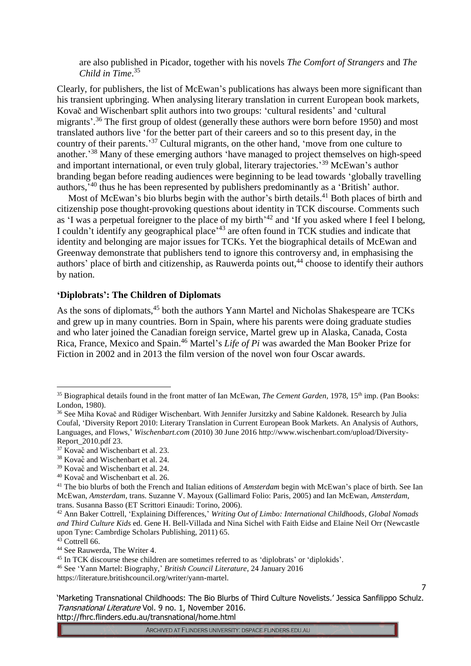are also published in Picador, together with his novels *The Comfort of Strangers* and *The Child in Time*. 35

Clearly, for publishers, the list of McEwan's publications has always been more significant than his transient upbringing. When analysing literary translation in current European book markets, Kovač and Wischenbart split authors into two groups: 'cultural residents' and 'cultural migrants'.<sup>36</sup> The first group of oldest (generally these authors were born before 1950) and most translated authors live 'for the better part of their careers and so to this present day, in the country of their parents.<sup>37</sup> Cultural migrants, on the other hand, 'move from one culture to another.<sup>38</sup> Many of these emerging authors 'have managed to project themselves on high-speed and important international, or even truly global, literary trajectories.<sup>39</sup> McEwan's author branding began before reading audiences were beginning to be lead towards 'globally travelling authors,<sup>40</sup> thus he has been represented by publishers predominantly as a 'British' author.

Most of McEwan's bio blurbs begin with the author's birth details.<sup>41</sup> Both places of birth and citizenship pose thought-provoking questions about identity in TCK discourse. Comments such as 'I was a perpetual foreigner to the place of my birth<sup>'42</sup> and 'If you asked where I feel I belong, I couldn't identify any geographical place<sup>,43</sup> are often found in TCK studies and indicate that identity and belonging are major issues for TCKs. Yet the biographical details of McEwan and Greenway demonstrate that publishers tend to ignore this controversy and, in emphasising the authors' place of birth and citizenship, as Rauwerda points out,<sup>44</sup> choose to identify their authors by nation.

# **'Diplobrats': The Children of Diplomats**

As the sons of diplomats,<sup>45</sup> both the authors Yann Martel and Nicholas Shakespeare are TCKs and grew up in many countries. Born in Spain, where his parents were doing graduate studies and who later joined the Canadian foreign service, Martel grew up in Alaska, Canada, Costa Rica, France, Mexico and Spain.<sup>46</sup> Martel's *Life of Pi* was awarded the Man Booker Prize for Fiction in 2002 and in 2013 the film version of the novel won four Oscar awards.

-

<sup>46</sup> See 'Yann Martel: Biography,' *British Council Literature*, 24 January 2016

'Marketing Transnational Childhoods: The Bio Blurbs of Third Culture Novelists.' Jessica Sanfilippo Schulz. Transnational Literature Vol. 9 no. 1, November 2016. http://fhrc.flinders.edu.au/transnational/home.html

7

<sup>&</sup>lt;sup>35</sup> Biographical details found in the front matter of Ian McEwan, *The Cement Garden*, 1978, 15<sup>th</sup> imp. (Pan Books: London, 1980).

<sup>&</sup>lt;sup>36</sup> See Miha Kovač and Rüdiger Wischenbart. With Jennifer Jursitzky and Sabine Kaldonek. Research by Julia Coufal, 'Diversity Report 2010: Literary Translation in Current European Book Markets. An Analysis of Authors, Languages, and Flows,' *Wischenbart.com* (2010) 30 June 2016 http://www.wischenbart.com/upload/Diversity-Report\_2010.pdf 23.

<sup>&</sup>lt;sup>37</sup> Kovač and Wischenbart et al. 23.

<sup>38</sup> Kovač and Wischenbart et al. 24.

<sup>&</sup>lt;sup>39</sup> Kovač and Wischenbart et al. 24.

<sup>40</sup> Kovač and Wischenbart et al. 26.

<sup>41</sup> The bio blurbs of both the French and Italian editions of *Amsterdam* begin with McEwan's place of birth. See Ian McEwan, *Amsterdam*, trans. Suzanne V. Mayoux (Gallimard Folio: Paris, 2005) and Ian McEwan, *Amsterdam*, trans. Susanna Basso (ET Scrittori Einaudi: Torino, 2006).

<sup>42</sup> Ann Baker Cottrell, 'Explaining Differences,' *Writing Out of Limbo: International Childhoods, Global Nomads and Third Culture Kids* ed. Gene H. Bell-Villada and Nina Sichel with Faith Eidse and Elaine Neil Orr (Newcastle upon Tyne: Cambrdige Scholars Publishing, 2011) 65.

 $43$  Cottrell 66.

<sup>44</sup> See Rauwerda, The Writer 4.

<sup>45</sup> In TCK discourse these children are sometimes referred to as 'diplobrats' or 'diplokids'.

https://literature.britishcouncil.org/writer/yann-martel.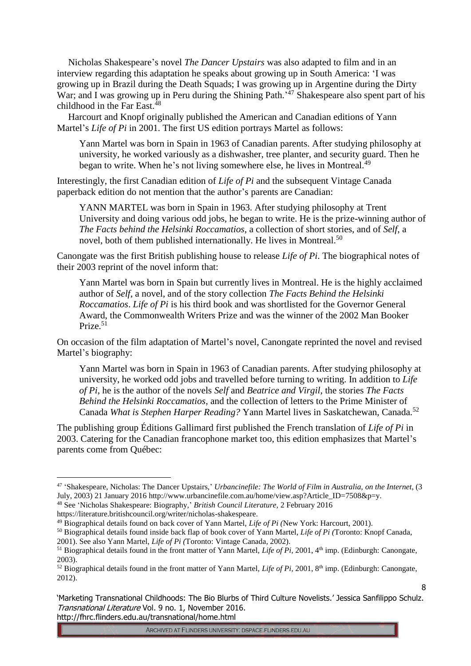Nicholas Shakespeare's novel *The Dancer Upstairs* was also adapted to film and in an interview regarding this adaptation he speaks about growing up in South America: 'I was growing up in Brazil during the Death Squads; I was growing up in Argentine during the Dirty War; and I was growing up in Peru during the Shining Path.<sup>'47</sup> Shakespeare also spent part of his childhood in the Far East. 48

Harcourt and Knopf originally published the American and Canadian editions of Yann Martel's *Life of Pi* in 2001. The first US edition portrays Martel as follows:

Yann Martel was born in Spain in 1963 of Canadian parents. After studying philosophy at university, he worked variously as a dishwasher, tree planter, and security guard. Then he began to write. When he's not living somewhere else, he lives in Montreal.<sup>49</sup>

Interestingly, the first Canadian edition of *Life of Pi* and the subsequent Vintage Canada paperback edition do not mention that the author's parents are Canadian:

YANN MARTEL was born in Spain in 1963. After studying philosophy at Trent University and doing various odd jobs, he began to write. He is the prize-winning author of *The Facts behind the Helsinki Roccamatios*, a collection of short stories, and of *Self*, a novel, both of them published internationally. He lives in Montreal.<sup>50</sup>

Canongate was the first British publishing house to release *Life of Pi*. The biographical notes of their 2003 reprint of the novel inform that:

Yann Martel was born in Spain but currently lives in Montreal. He is the highly acclaimed author of *Self*, a novel, and of the story collection *The Facts Behind the Helsinki Roccamatios*. *Life of Pi* is his third book and was shortlisted for the Governor General Award, the Commonwealth Writers Prize and was the winner of the 2002 Man Booker Prize.<sup>51</sup>

On occasion of the film adaptation of Martel's novel, Canongate reprinted the novel and revised Martel's biography:

Yann Martel was born in Spain in 1963 of Canadian parents. After studying philosophy at university, he worked odd jobs and travelled before turning to writing. In addition to *Life of Pi*, he is the author of the novels *Self* and *Beatrice and Virgil*, the stories *The Facts Behind the Helsinki Roccamatios*, and the collection of letters to the Prime Minister of Canada *What is Stephen Harper Reading?* Yann Martel lives in Saskatchewan, Canada.<sup>52</sup>

The publishing group Éditions Gallimard first published the French translation of *Life of Pi* in 2003. Catering for the Canadian francophone market too, this edition emphasizes that Martel's parents come from Québec:

<u>.</u>

<sup>47</sup> 'Shakespeare, Nicholas: The Dancer Upstairs,' *Urbancinefile: The World of Film in Australia, on the Internet*, (3 July, 2003) 21 January 2016 http://www.urbancinefile.com.au/home/view.asp?Article\_ID=7508&p=y.

<sup>48</sup> See 'Nicholas Shakespeare: Biography,' *British Council Literature,* 2 February 2016

https://literature.britishcouncil.org/writer/nicholas-shakespeare.

<sup>49</sup> Biographical details found on back cover of Yann Martel, *Life of Pi (*New York: Harcourt, 2001).

<sup>50</sup> Biographical details found inside back flap of book cover of Yann Martel, *Life of Pi (*Toronto: Knopf Canada, 2001). See also Yann Martel, *Life of Pi (*Toronto: Vintage Canada, 2002).

<sup>&</sup>lt;sup>51</sup> Biographical details found in the front matter of Yann Martel, *Life of Pi*, 2001, 4<sup>th</sup> imp. (Edinburgh: Canongate, 2003).

 $52$  Biographical details found in the front matter of Yann Martel, *Life of Pi*, 2001, 8<sup>th</sup> imp. (Edinburgh: Canongate, 2012).

<sup>&#</sup>x27;Marketing Transnational Childhoods: The Bio Blurbs of Third Culture Novelists.' Jessica Sanfilippo Schulz. Transnational Literature Vol. 9 no. 1, November 2016. http://fhrc.flinders.edu.au/transnational/home.html

<sup>8</sup>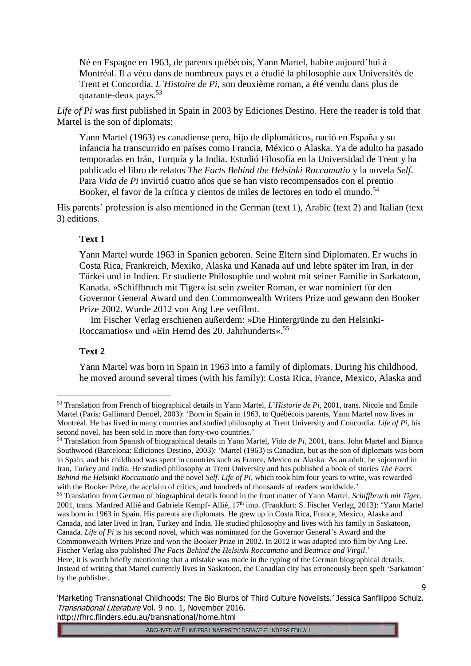Né en Espagne en 1963, de parents québécois, Yann Martel, habite aujourd'hui à Montréal. Il a vécu dans de nombreux pays et a étudié la philosophie aux Universités de Trent et Concordia. *L'Histoire de Pi*, son deuxième roman, a été vendu dans plus de quarante-deux pays.<sup>53</sup>

*Life of Pi* was first published in Spain in 2003 by Ediciones Destino. Here the reader is told that Martel is the son of diplomats:

Yann Martel (1963) es canadiense pero, hijo de diplomáticos, nació en España y su infancia ha transcurrido en países como Francia, México o Alaska. Ya de adulto ha pasado temporadas en Irán, Turquía y la India. Estudió Filosofía en la Universidad de Trent y ha publicado el libro de relatos *The Facts Behind the Helsinki Roccamatio* y la novela *Self*. Para *Vida de Pi* invirtió cuatro años que se han visto recompensados con el premio Booker, el favor de la crítica y cientos de miles de lectores en todo el mundo.<sup>54</sup>

His parents' profession is also mentioned in the German (text 1), Arabic (text 2) and Italian (text 3) editions.

## **Text 1**

Yann Martel wurde 1963 in Spanien geboren. Seine Eltern sind Diplomaten. Er wuchs in Costa Rica, Frankreich, Mexiko, Alaska und Kanada auf und lebte später im Iran, in der Türkei und in Indien. Er studierte Philosophie und wohnt mit seiner Familie in Sarkatoon, Kanada. »Schiffbruch mit Tiger« ist sein zweiter Roman, er war nominiert für den Governor General Award und den Commonwealth Writers Prize und gewann den Booker Prize 2002. Wurde 2012 von Ang Lee verfilmt.

Im Fischer Verlag erschienen außerdem: »Die Hintergründe zu den Helsinki-Roccamatios« und »Ein Hemd des 20. Jahrhunderts«.<sup>55</sup>

# **Text 2**

<u>.</u>

Yann Martel was born in Spain in 1963 into a family of diplomats. During his childhood, he moved around several times (with his family): Costa Rica, France, Mexico, Alaska and

<sup>53</sup> Translation from French of biographical details in Yann Martel, *L*'*Historie de Pi,* 2001, trans. Nicole and Émile Martel (Paris: Gallimard Denoël, 2003): 'Born in Spain in 1963, to Québécois parents, Yann Martel now lives in Montreal. He has lived in many countries and studied philosophy at Trent University and Concordia. *Life of Pi*, his second novel, has been sold in more than forty-two countries.'

<sup>54</sup> Translation from Spanish of biographical details in Yann Martel, *Vida de Pi,* 2001, trans. John Martel and Bianca Southwood (Barcelona: Ediciones Destino, 2003): 'Martel (1963) is Canadian, but as the son of diplomats was born in Spain, and his childhood was spent in countries such as France, Mexico or Alaska. As an adult, he sojourned in Iran, Turkey and India. He studied philosophy at Trent University and has published a book of stories *The Facts Behind the Helsinki Roccamatio* and the novel *Self. Life of Pi*, which took him four years to write, was rewarded with the Booker Prize, the acclaim of critics, and hundreds of thousands of readers worldwide.'

<sup>55</sup> Translation from German of biographical details found in the front matter of Yann Martel, *Schiffbruch mit Tiger,*  2001, trans. Manfred Allié and Gabriele Kempf- Allié, 17<sup>th</sup> imp. (Frankfurt: S. Fischer Verlag, 2013): 'Yann Martel was born in 1963 in Spain. His parents are diplomats. He grew up in Costa Rica, France, Mexico, Alaska and Canada, and later lived in Iran, Turkey and India. He studied philosophy and lives with his family in Saskatoon, Canada. *Life of Pi* is his second novel, which was nominated for the Governor General's Award and the Commonwealth Writers Prize and won the Booker Prize in 2002. In 2012 it was adapted into film by Ang Lee.

Fischer Verlag also published *The Facts Behind the Helsinki Roccamatio* and *Beatrice and Virgil*.' Here, it is worth briefly mentioning that a mistake was made in the typing of the German biographical details. Instead of writing that Martel currently lives in Saskatoon, the Canadian city has erroneously been spelt 'Sarkatoon' by the publisher.

<sup>&#</sup>x27;Marketing Transnational Childhoods: The Bio Blurbs of Third Culture Novelists.' Jessica Sanfilippo Schulz. Transnational Literature Vol. 9 no. 1, November 2016. http://fhrc.flinders.edu.au/transnational/home.html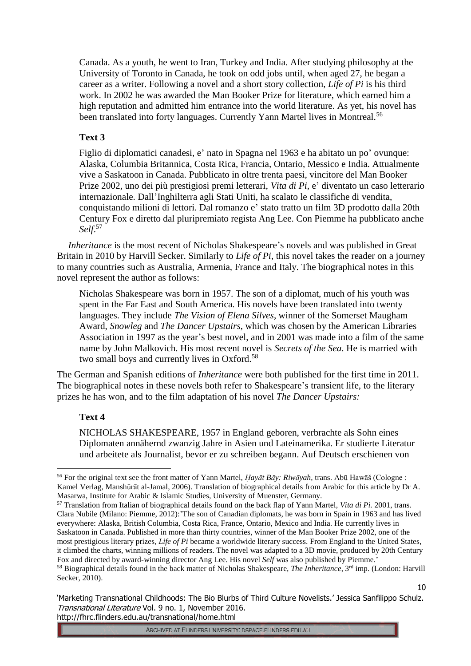Canada. As a youth, he went to Iran, Turkey and India. After studying philosophy at the University of Toronto in Canada, he took on odd jobs until, when aged 27, he began a career as a writer. Following a novel and a short story collection, *Life of Pi* is his third work. In 2002 he was awarded the Man Booker Prize for literature, which earned him a high reputation and admitted him entrance into the world literature. As yet, his novel has been translated into forty languages. Currently Yann Martel lives in Montreal.<sup>56</sup>

# **Text 3**

Figlio di diplomatici canadesi, e' nato in Spagna nel 1963 e ha abitato un po' ovunque: Alaska, Columbia Britannica, Costa Rica, Francia, Ontario, Messico e India. Attualmente vive a Saskatoon in Canada. Pubblicato in oltre trenta paesi, vincitore del Man Booker Prize 2002, uno dei più prestigiosi premi letterari, *Vita di Pi*, e' diventato un caso letterario internazionale. Dall'Inghilterra agli Stati Uniti, ha scalato le classifiche di vendita, conquistando milioni di lettori. Dal romanzo e' stato tratto un film 3D prodotto dalla 20th Century Fox e diretto dal pluripremiato regista Ang Lee. Con Piemme ha pubblicato anche *Self*. 57

*Inheritance* is the most recent of Nicholas Shakespeare's novels and was published in Great Britain in 2010 by Harvill Secker. Similarly to *Life of Pi*, this novel takes the reader on a journey to many countries such as Australia, Armenia, France and Italy. The biographical notes in this novel represent the author as follows:

Nicholas Shakespeare was born in 1957. The son of a diplomat, much of his youth was spent in the Far East and South America. His novels have been translated into twenty languages. They include *The Vision of Elena Silves*, winner of the Somerset Maugham Award, *Snowleg* and *The Dancer Upstairs*, which was chosen by the American Libraries Association in 1997 as the year's best novel, and in 2001 was made into a film of the same name by John Malkovich. His most recent novel is *Secrets of the Sea*. He is married with two small boys and currently lives in Oxford.<sup>58</sup>

The German and Spanish editions of *Inheritance* were both published for the first time in 2011. The biographical notes in these novels both refer to Shakespeare's transient life, to the literary prizes he has won, and to the film adaptation of his novel *The Dancer Upstairs:*

# **Text 4**

<u>.</u>

NICHOLAS SHAKESPEARE, 1957 in England geboren, verbrachte als Sohn eines Diplomaten annähernd zwanzig Jahre in Asien und Lateinamerika. Er studierte Literatur und arbeitete als Journalist, bevor er zu schreiben begann. Auf Deutsch erschienen von

10

<sup>56</sup> For the original text see the front matter of Yann Martel, *Ḥayāt Bāy: Riwāyah*, trans. Abū Hawāš (Cologne : Kamel Verlag, Manshūrāt al-Jamal, 2006). Translation of biographical details from Arabic for this article by Dr A. Masarwa, Institute for Arabic & Islamic Studies, University of Muenster, Germany.

<sup>57</sup> Translation from Italian of biographical details found on the back flap of Yann Martel, *Vita di Pi.* 2001, trans. Clara Nubile (Milano: Piemme, 2012):'The son of Canadian diplomats, he was born in Spain in 1963 and has lived everywhere: Alaska, British Columbia, Costa Rica, France, Ontario, Mexico and India. He currently lives in Saskatoon in Canada. Published in more than thirty countries, winner of the Man Booker Prize 2002, one of the most prestigious literary prizes, *Life of Pi* became a worldwide literary success. From England to the United States, it climbed the charts, winning millions of readers. The novel was adapted to a 3D movie, produced by 20th Century Fox and directed by award-winning director Ang Lee. His novel *Self* was also published by Piemme.' <sup>58</sup> Biographical details found in the back matter of Nicholas Shakespeare, *The Inheritance*, 3rd imp. (London: Harvill Secker, 2010).

<sup>&#</sup>x27;Marketing Transnational Childhoods: The Bio Blurbs of Third Culture Novelists.' Jessica Sanfilippo Schulz. Transnational Literature Vol. 9 no. 1, November 2016. http://fhrc.flinders.edu.au/transnational/home.html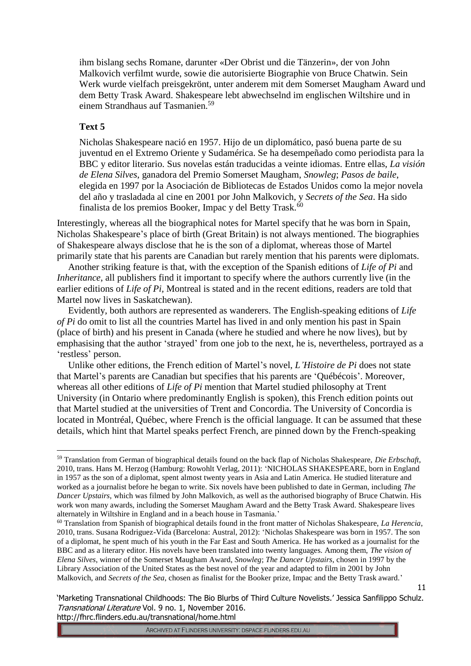ihm bislang sechs Romane, darunter «Der Obrist und die Tänzerin», der von John Malkovich verfilmt wurde, sowie die autorisierte Biographie von Bruce Chatwin. Sein Werk wurde vielfach preisgekrönt, unter anderem mit dem Somerset Maugham Award und dem Betty Trask Award. Shakespeare lebt abwechselnd im englischen Wiltshire und in einem Strandhaus auf Tasmanien.<sup>59</sup>

### **Text 5**

Nicholas Shakespeare nació en 1957. Hijo de un diplomático, pasó buena parte de su juventud en el Extremo Oriente y Sudamérica. Se ha desempeñado como periodista para la BBC y editor literario. Sus novelas están traducidas a veinte idiomas. Entre ellas, *La visión de Elena Silves*, ganadora del Premio Somerset Maugham, *Snowleg*; *Pasos de baile*, elegida en 1997 por la Asociación de Bibliotecas de Estados Unidos como la mejor novela del año y trasladada al cine en 2001 por John Malkovich, y *Secrets of the Sea*. Ha sido finalista de los premios Booker, Impac y del Betty Trask.<sup>60</sup>

Interestingly, whereas all the biographical notes for Martel specify that he was born in Spain, Nicholas Shakespeare's place of birth (Great Britain) is not always mentioned. The biographies of Shakespeare always disclose that he is the son of a diplomat, whereas those of Martel primarily state that his parents are Canadian but rarely mention that his parents were diplomats.

Another striking feature is that, with the exception of the Spanish editions of *Life of Pi* and *Inheritance*, all publishers find it important to specify where the authors currently live (in the earlier editions of *Life of Pi,* Montreal is stated and in the recent editions, readers are told that Martel now lives in Saskatchewan).

Evidently, both authors are represented as wanderers. The English-speaking editions of *Life of Pi* do omit to list all the countries Martel has lived in and only mention his past in Spain (place of birth) and his present in Canada (where he studied and where he now lives), but by emphasising that the author 'strayed' from one job to the next, he is, nevertheless, portrayed as a 'restless' person.

Unlike other editions, the French edition of Martel's novel, *L'Histoire de Pi* does not state that Martel's parents are Canadian but specifies that his parents are 'Québécois'. Moreover, whereas all other editions of *Life of Pi* mention that Martel studied philosophy at Trent University (in Ontario where predominantly English is spoken), this French edition points out that Martel studied at the universities of Trent and Concordia. The University of Concordia is located in Montréal, Québec, where French is the official language. It can be assumed that these details, which hint that Martel speaks perfect French, are pinned down by the French-speaking

11

<sup>&</sup>lt;u>.</u> <sup>59</sup> Translation from German of biographical details found on the back flap of Nicholas Shakespeare, *Die Erbschaft*, 2010, trans. Hans M. Herzog (Hamburg: Rowohlt Verlag, 2011): 'NICHOLAS SHAKESPEARE, born in England in 1957 as the son of a diplomat, spent almost twenty years in Asia and Latin America. He studied literature and worked as a journalist before he began to write. Six novels have been published to date in German, including *The Dancer Upstairs*, which was filmed by John Malkovich, as well as the authorised biography of Bruce Chatwin. His work won many awards, including the Somerset Maugham Award and the Betty Trask Award. Shakespeare lives alternately in Wiltshire in England and in a beach house in Tasmania.'

<sup>60</sup> Translation from Spanish of biographical details found in the front matter of Nicholas Shakespeare, *La Herencia*, 2010, trans. Susana Rodriguez-Vida (Barcelona: Austral, 2012): 'Nicholas Shakespeare was born in 1957. The son of a diplomat, he spent much of his youth in the Far East and South America. He has worked as a journalist for the BBC and as a literary editor. His novels have been translated into twenty languages. Among them, *The vision of Elena Silves*, winner of the Somerset Maugham Award, *Snowleg*; *The Dancer Upstairs*, chosen in 1997 by the Library Association of the United States as the best novel of the year and adapted to film in 2001 by John Malkovich, and *Secrets of the Sea*, chosen as finalist for the Booker prize, Impac and the Betty Trask award.'

<sup>&#</sup>x27;Marketing Transnational Childhoods: The Bio Blurbs of Third Culture Novelists.' Jessica Sanfilippo Schulz. Transnational Literature Vol. 9 no. 1, November 2016. http://fhrc.flinders.edu.au/transnational/home.html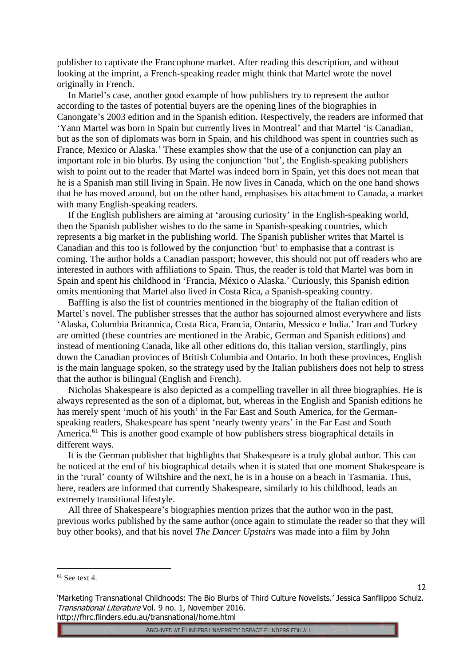publisher to captivate the Francophone market. After reading this description, and without looking at the imprint, a French-speaking reader might think that Martel wrote the novel originally in French.

In Martel's case, another good example of how publishers try to represent the author according to the tastes of potential buyers are the opening lines of the biographies in Canongate's 2003 edition and in the Spanish edition. Respectively, the readers are informed that 'Yann Martel was born in Spain but currently lives in Montreal' and that Martel 'is Canadian, but as the son of diplomats was born in Spain, and his childhood was spent in countries such as France, Mexico or Alaska.' These examples show that the use of a conjunction can play an important role in bio blurbs. By using the conjunction 'but', the English-speaking publishers wish to point out to the reader that Martel was indeed born in Spain, yet this does not mean that he is a Spanish man still living in Spain. He now lives in Canada, which on the one hand shows that he has moved around, but on the other hand, emphasises his attachment to Canada, a market with many English-speaking readers.

If the English publishers are aiming at 'arousing curiosity' in the English-speaking world, then the Spanish publisher wishes to do the same in Spanish-speaking countries, which represents a big market in the publishing world. The Spanish publisher writes that Martel is Canadian and this too is followed by the conjunction 'but' to emphasise that a contrast is coming. The author holds a Canadian passport; however, this should not put off readers who are interested in authors with affiliations to Spain. Thus, the reader is told that Martel was born in Spain and spent his childhood in 'Francia, México o Alaska.' Curiously, this Spanish edition omits mentioning that Martel also lived in Costa Rica, a Spanish-speaking country.

Baffling is also the list of countries mentioned in the biography of the Italian edition of Martel's novel. The publisher stresses that the author has sojourned almost everywhere and lists 'Alaska, Columbia Britannica, Costa Rica, Francia, Ontario, Messico e India.' Iran and Turkey are omitted (these countries are mentioned in the Arabic, German and Spanish editions) and instead of mentioning Canada, like all other editions do, this Italian version, startlingly, pins down the Canadian provinces of British Columbia and Ontario. In both these provinces, English is the main language spoken, so the strategy used by the Italian publishers does not help to stress that the author is bilingual (English and French).

Nicholas Shakespeare is also depicted as a compelling traveller in all three biographies. He is always represented as the son of a diplomat, but, whereas in the English and Spanish editions he has merely spent 'much of his youth' in the Far East and South America, for the Germanspeaking readers, Shakespeare has spent 'nearly twenty years' in the Far East and South America.<sup>61</sup> This is another good example of how publishers stress biographical details in different ways.

It is the German publisher that highlights that Shakespeare is a truly global author. This can be noticed at the end of his biographical details when it is stated that one moment Shakespeare is in the 'rural' county of Wiltshire and the next, he is in a house on a beach in Tasmania. Thus, here, readers are informed that currently Shakespeare, similarly to his childhood, leads an extremely transitional lifestyle.

All three of Shakespeare's biographies mention prizes that the author won in the past, previous works published by the same author (once again to stimulate the reader so that they will buy other books), and that his novel *The Dancer Upstairs* was made into a film by John

<u>.</u>

 $61$  See text 4.

<sup>&#</sup>x27;Marketing Transnational Childhoods: The Bio Blurbs of Third Culture Novelists.' Jessica Sanfilippo Schulz. Transnational Literature Vol. 9 no. 1, November 2016. http://fhrc.flinders.edu.au/transnational/home.html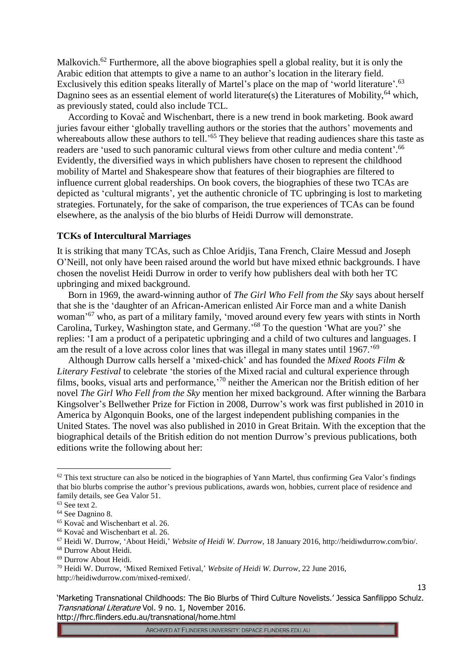Malkovich.<sup>62</sup> Furthermore, all the above biographies spell a global reality, but it is only the Arabic edition that attempts to give a name to an author's location in the literary field. Exclusively this edition speaks literally of Martel's place on the map of 'world literature'.<sup>63</sup> Dagnino sees as an essential element of world literature(s) the Literatures of Mobility,  $64$  which, as previously stated, could also include TCL.

According to Kovač and Wischenbart, there is a new trend in book marketing. Book award juries favour either 'globally travelling authors or the stories that the authors' movements and whereabouts allow these authors to tell.<sup>55</sup> They believe that reading audiences share this taste as readers are 'used to such panoramic cultural views from other culture and media content'.<sup>66</sup> Evidently, the diversified ways in which publishers have chosen to represent the childhood mobility of Martel and Shakespeare show that features of their biographies are filtered to influence current global readerships. On book covers, the biographies of these two TCAs are depicted as 'cultural migrants', yet the authentic chronicle of TC upbringing is lost to marketing strategies. Fortunately, for the sake of comparison, the true experiences of TCAs can be found elsewhere, as the analysis of the bio blurbs of Heidi Durrow will demonstrate.

### **TCKs of Intercultural Marriages**

It is striking that many TCAs, such as Chloe Aridjis, Tana French, Claire Messud and Joseph O'Neill, not only have been raised around the world but have mixed ethnic backgrounds. I have chosen the novelist Heidi Durrow in order to verify how publishers deal with both her TC upbringing and mixed background.

Born in 1969, the award-winning author of *The Girl Who Fell from the Sky* says about herself that she is the 'daughter of an African-American enlisted Air Force man and a white Danish woman' <sup>67</sup> who, as part of a military family, 'moved around every few years with stints in North Carolina, Turkey, Washington state, and Germany.' <sup>68</sup> To the question 'What are you?' she replies: 'I am a product of a peripatetic upbringing and a child of two cultures and languages. I am the result of a love across color lines that was illegal in many states until 1967.'<sup>69</sup>

Although Durrow calls herself a 'mixed-chick' and has founded the *Mixed Roots Film & Literary Festival* to celebrate 'the stories of the Mixed racial and cultural experience through films, books, visual arts and performance,<sup>70</sup> neither the American nor the British edition of her novel *The Girl Who Fell from the Sky* mention her mixed background. After winning the Barbara Kingsolver's Bellwether Prize for Fiction in 2008, Durrow's work was first published in 2010 in America by Algonquin Books, one of the largest independent publishing companies in the United States. The novel was also published in 2010 in Great Britain. With the exception that the biographical details of the British edition do not mention Durrow's previous publications, both editions write the following about her:

<u>.</u>

'Marketing Transnational Childhoods: The Bio Blurbs of Third Culture Novelists.' Jessica Sanfilippo Schulz. Transnational Literature Vol. 9 no. 1, November 2016. http://fhrc.flinders.edu.au/transnational/home.html

ARCHIVED AT FLINDERS UNIVERSITY: DSPACE.FLINDERS.EDU.AU

 $62$  This text structure can also be noticed in the biographies of Yann Martel, thus confirming Gea Valor's findings that bio blurbs comprise the author's previous publications, awards won, hobbies, current place of residence and family details, see Gea Valor 51.

<sup>63</sup> See text 2.

<sup>&</sup>lt;sup>64</sup> See Dagnino 8.

<sup>65</sup> Kovač and Wischenbart et al. 26.

<sup>66</sup> Kovač and Wischenbart et al. 26.

<sup>67</sup> Heidi W. Durrow, 'About Heidi,' *Website of Heidi W. Durrow*, 18 January 2016, http://heidiwdurrow.com/bio/.

<sup>68</sup> Durrow About Heidi.

<sup>69</sup> Durrow About Heidi.

<sup>70</sup> Heidi W. Durrow, 'Mixed Remixed Fetival,' *Website of Heidi W. Durrow*, 22 June 2016, http://heidiwdurrow.com/mixed-remixed/.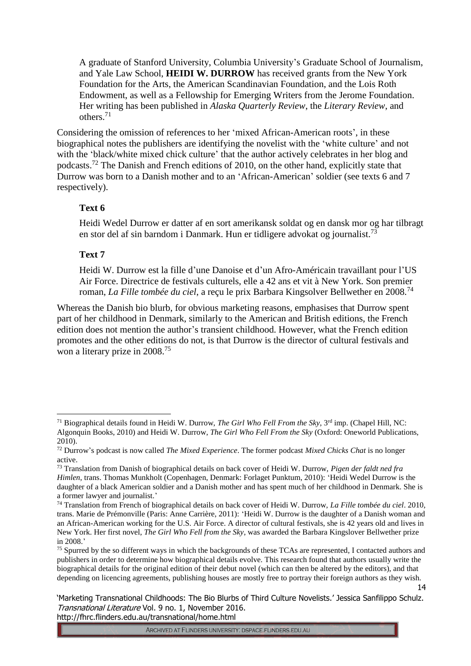A graduate of Stanford University, Columbia University's Graduate School of Journalism, and Yale Law School, **HEIDI W. DURROW** has received grants from the New York Foundation for the Arts, the American Scandinavian Foundation, and the Lois Roth Endowment, as well as a Fellowship for Emerging Writers from the Jerome Foundation. Her writing has been published in *Alaska Quarterly Review*, the *Literary Review*, and others.<sup>71</sup>

Considering the omission of references to her 'mixed African-American roots', in these biographical notes the publishers are identifying the novelist with the 'white culture' and not with the 'black/white mixed chick culture' that the author actively celebrates in her blog and podcasts.<sup>72</sup> The Danish and French editions of 2010, on the other hand, explicitly state that Durrow was born to a Danish mother and to an 'African-American' soldier (see texts 6 and 7 respectively).

## **Text 6**

Heidi Wedel Durrow er datter af en sort amerikansk soldat og en dansk mor og har tilbragt en stor del af sin barndom i Danmark. Hun er tidligere advokat og journalist.<sup>73</sup>

## **Text 7**

<u>.</u>

Heidi W. Durrow est la fille d'une Danoise et d'un Afro-Américain travaillant pour l'US Air Force. Directrice de festivals culturels, elle a 42 ans et vit à New York. Son premier roman, *La Fille tombée du ciel*, a reçu le prix Barbara Kingsolver Bellwether en 2008.<sup>74</sup>

Whereas the Danish bio blurb, for obvious marketing reasons, emphasises that Durrow spent part of her childhood in Denmark, similarly to the American and British editions, the French edition does not mention the author's transient childhood. However, what the French edition promotes and the other editions do not, is that Durrow is the director of cultural festivals and won a literary prize in 2008.<sup>75</sup>

<sup>&</sup>lt;sup>71</sup> Biographical details found in Heidi W. Durrow, *The Girl Who Fell From the Sky*, 3<sup>rd</sup> imp. (Chapel Hill, NC: Algonquin Books, 2010) and Heidi W. Durrow, *The Girl Who Fell From the Sky* (Oxford: Oneworld Publications, 2010).

<sup>72</sup> Durrow's podcast is now called *The Mixed Experience*. The former podcast *Mixed Chicks Chat* is no longer active.

<sup>73</sup> Translation from Danish of biographical details on back cover of Heidi W. Durrow, *Pigen der faldt ned fra Himlen*, trans. Thomas Munkholt (Copenhagen, Denmark: Forlaget Punktum, 2010): 'Heidi Wedel Durrow is the daughter of a black American soldier and a Danish mother and has spent much of her childhood in Denmark. She is a former lawyer and journalist.'

<sup>74</sup> Translation from French of biographical details on back cover of Heidi W. Durrow, *La Fille tombée du ciel*. 2010, trans. Marie de Prémonville (Paris: Anne Carrière, 2011): 'Heidi W. Durrow is the daughter of a Danish woman and an African-American working for the U.S. Air Force. A director of cultural festivals, she is 42 years old and lives in New York. Her first novel, *The Girl Who Fell from the Sky*, was awarded the Barbara Kingslover Bellwether prize in 2008.'

<sup>&</sup>lt;sup>75</sup> Spurred by the so different ways in which the backgrounds of these TCAs are represented, I contacted authors and publishers in order to determine how biographical details evolve. This research found that authors usually write the biographical details for the original edition of their debut novel (which can then be altered by the editors), and that depending on licencing agreements, publishing houses are mostly free to portray their foreign authors as they wish.

<sup>&#</sup>x27;Marketing Transnational Childhoods: The Bio Blurbs of Third Culture Novelists.' Jessica Sanfilippo Schulz. Transnational Literature Vol. 9 no. 1, November 2016. http://fhrc.flinders.edu.au/transnational/home.html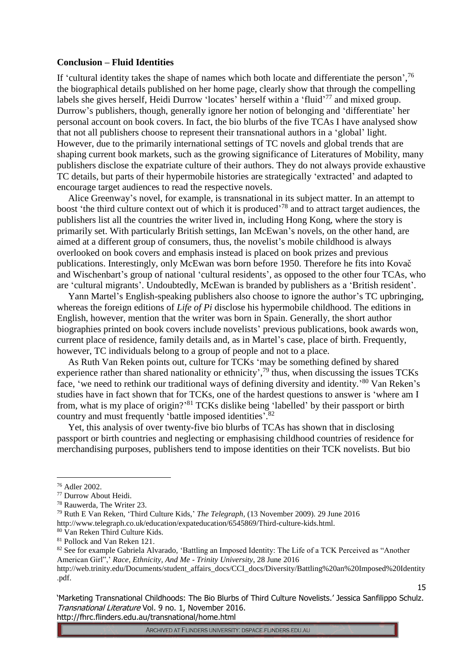#### **Conclusion – Fluid Identities**

If 'cultural identity takes the shape of names which both locate and differentiate the person',  $76$ the biographical details published on her home page, clearly show that through the compelling labels she gives herself, Heidi Durrow 'locates' herself within a 'fluid'<sup>77</sup> and mixed group. Durrow's publishers, though, generally ignore her notion of belonging and 'differentiate' her personal account on book covers. In fact, the bio blurbs of the five TCAs I have analysed show that not all publishers choose to represent their transnational authors in a 'global' light. However, due to the primarily international settings of TC novels and global trends that are shaping current book markets, such as the growing significance of Literatures of Mobility, many publishers disclose the expatriate culture of their authors. They do not always provide exhaustive TC details, but parts of their hypermobile histories are strategically 'extracted' and adapted to encourage target audiences to read the respective novels.

Alice Greenway's novel, for example, is transnational in its subject matter. In an attempt to boost 'the third culture context out of which it is produced'<sup>78</sup> and to attract target audiences, the publishers list all the countries the writer lived in, including Hong Kong, where the story is primarily set. With particularly British settings, Ian McEwan's novels, on the other hand, are aimed at a different group of consumers, thus, the novelist's mobile childhood is always overlooked on book covers and emphasis instead is placed on book prizes and previous publications. Interestingly, only McEwan was born before 1950. Therefore he fits into Kovač and Wischenbart's group of national 'cultural residents', as opposed to the other four TCAs, who are 'cultural migrants'. Undoubtedly, McEwan is branded by publishers as a 'British resident'.

Yann Martel's English-speaking publishers also choose to ignore the author's TC upbringing, whereas the foreign editions of *Life of Pi* disclose his hypermobile childhood. The editions in English, however, mention that the writer was born in Spain. Generally, the short author biographies printed on book covers include novelists' previous publications, book awards won, current place of residence, family details and, as in Martel's case, place of birth. Frequently, however, TC individuals belong to a group of people and not to a place.

As Ruth Van Reken points out, culture for TCKs 'may be something defined by shared experience rather than shared nationality or ethnicity',<sup>79</sup> thus, when discussing the issues TCKs face, 'we need to rethink our traditional ways of defining diversity and identity.<sup>80</sup> Van Reken's studies have in fact shown that for TCKs, one of the hardest questions to answer is 'where am I from, what is my place of origin?'<sup>81</sup> TCKs dislike being 'labelled' by their passport or birth country and must frequently 'battle imposed identities'.<sup>82</sup>

Yet, this analysis of over twenty-five bio blurbs of TCAs has shown that in disclosing passport or birth countries and neglecting or emphasising childhood countries of residence for merchandising purposes, publishers tend to impose identities on their TCK novelists. But bio

<u>.</u>

'Marketing Transnational Childhoods: The Bio Blurbs of Third Culture Novelists.' Jessica Sanfilippo Schulz. Transnational Literature Vol. 9 no. 1, November 2016. http://fhrc.flinders.edu.au/transnational/home.html

<sup>76</sup> Adler 2002.

<sup>77</sup> Durrow About Heidi.

<sup>78</sup> Rauwerda, The Writer 23.

<sup>79</sup> Ruth E Van Reken, 'Third Culture Kids,' *The Telegraph,* (13 November 2009). 29 June 2016 http://www.telegraph.co.uk/education/expateducation/6545869/Third-culture-kids.html.

<sup>80</sup> Van Reken Third Culture Kids.

<sup>81</sup> Pollock and Van Reken 121.

<sup>82</sup> See for example Gabriela Alvarado, 'Battling an Imposed Identity: The Life of a TCK Perceived as "Another American Girl",' *Race, Ethnicity, And Me* - *Trinity University*, 28 June 2016

http://web.trinity.edu/Documents/student\_affairs\_docs/CCI\_docs/Diversity/Battling%20an%20Imposed%20Identity .pdf.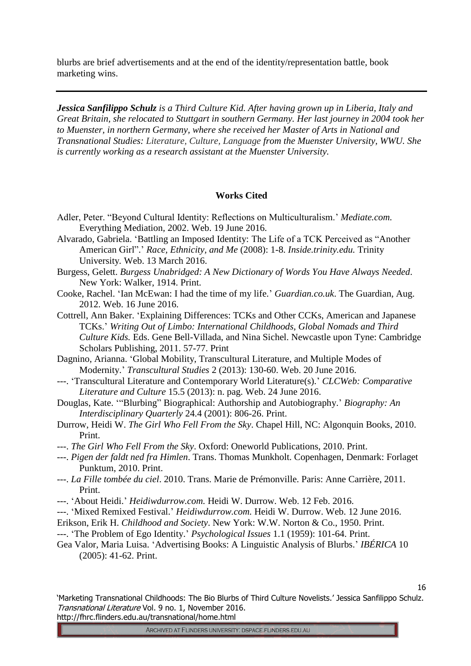blurbs are brief advertisements and at the end of the identity/representation battle, book marketing wins.

*Jessica Sanfilippo Schulz is a Third Culture Kid. After having grown up in Liberia, Italy and Great Britain, she relocated to Stuttgart in southern Germany. Her last journey in 2004 took her to Muenster, in northern Germany, where she received her Master of Arts in National and Transnational Studies: Literature, Culture, Language from the Muenster University, WWU. She is currently working as a research assistant at the Muenster University.*

#### **Works Cited**

- Adler, Peter. "Beyond Cultural Identity: Reflections on Multiculturalism.' *Mediate.com.*  Everything Mediation*,* 2002. Web. 19 June 2016.
- Alvarado, Gabriela. 'Battling an Imposed Identity: The Life of a TCK Perceived as "Another American Girl".' *Race, Ethnicity, and Me* (2008): 1-8. *Inside.trinity.edu.* Trinity University*.* Web. 13 March 2016.
- Burgess, Gelett. *Burgess Unabridged: A New Dictionary of Words You Have Always Needed*. New York: Walker, 1914. Print.
- Cooke, Rachel. 'Ian McEwan: I had the time of my life.' *Guardian.co.uk*. The Guardian, Aug. 2012. Web. 16 June 2016.
- Cottrell, Ann Baker. 'Explaining Differences: TCKs and Other CCKs, American and Japanese TCKs.' *Writing Out of Limbo: International Childhoods, Global Nomads and Third Culture Kids.* Eds. Gene Bell-Villada, and Nina Sichel. Newcastle upon Tyne: Cambridge Scholars Publishing, 2011. 57-77. Print
- Dagnino, Arianna. 'Global Mobility, Transcultural Literature, and Multiple Modes of Modernity.' *Transcultural Studies* 2 (2013): 130-60. Web. 20 June 2016.
- ---. 'Transcultural Literature and Contemporary World Literature(s).' *CLCWeb: Comparative Literature and Culture* 15.5 (2013): n. pag. Web. 24 June 2016.
- Douglas, Kate. '"Blurbing" Biographical: Authorship and Autobiography.' *Biography: An Interdisciplinary Quarterly* 24.4 (2001): 806-26. Print.
- Durrow, Heidi W. *The Girl Who Fell From the Sky*. Chapel Hill, NC: Algonquin Books, 2010. Print.
- ---. *The Girl Who Fell From the Sky*. Oxford: Oneworld Publications, 2010. Print.
- ---. *Pigen der faldt ned fra Himlen*. Trans. Thomas Munkholt. Copenhagen, Denmark: Forlaget Punktum, 2010. Print.
- ---. *La Fille tombée du ciel*. 2010. Trans. Marie de Prémonville. Paris: Anne Carrière, 2011. Print.
- ---. 'About Heidi.' *Heidiwdurrow.com.* Heidi W. Durrow. Web. 12 Feb. 2016.
- ---. 'Mixed Remixed Festival.' *Heidiwdurrow.com.* Heidi W. Durrow. Web. 12 June 2016.
- Erikson, Erik H. *Childhood and Society*. New York: W.W. Norton & Co., 1950. Print.
- ---. 'The Problem of Ego Identity.' *Psychological Issues* 1.1 (1959): 101-64. Print.
- Gea Valor, Maria Luisa. 'Advertising Books: A Linguistic Analysis of Blurbs.' *IBÉRICA* 10 (2005): 41-62. Print.

'Marketing Transnational Childhoods: The Bio Blurbs of Third Culture Novelists.' Jessica Sanfilippo Schulz. Transnational Literature Vol. 9 no. 1, November 2016. http://fhrc.flinders.edu.au/transnational/home.html

ARCHIVED AT FLINDERS UNIVERSITY: DSPACE.FLINDERS.EDU.AU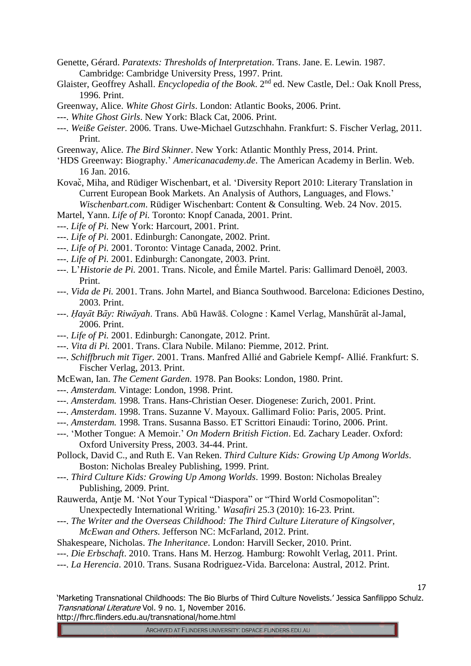- Genette, Gérard. *Paratexts: Thresholds of Interpretation*. Trans. Jane. E. Lewin. 1987. Cambridge: Cambridge University Press, 1997. Print.
- Glaister, Geoffrey Ashall. *Encyclopedia of the Book*. 2nd ed. New Castle, Del.: Oak Knoll Press, 1996. Print.
- Greenway, Alice. *White Ghost Girls*. London: Atlantic Books, 2006. Print.
- ---. *White Ghost Girls*. New York: Black Cat, 2006. Print.
- ---. *Weiße Geister.* 2006. Trans. Uwe-Michael Gutzschhahn. Frankfurt: S. Fischer Verlag, 2011. Print.
- Greenway, Alice. *The Bird Skinner*. New York: Atlantic Monthly Press, 2014. Print.
- 'HDS Greenway: Biography.' *Americanacademy.de*. The American Academy in Berlin. Web. 16 Jan. 2016.
- Kovač, Miha, and Rüdiger Wischenbart, et al. 'Diversity Report 2010: Literary Translation in Current European Book Markets. An Analysis of Authors, Languages, and Flows.'
	- *Wischenbart.com*. Rüdiger Wischenbart: Content & Consulting. Web. 24 Nov. 2015.
- Martel, Yann. *Life of Pi.* Toronto: Knopf Canada, 2001. Print.
- ---. *Life of Pi.* New York: Harcourt, 2001. Print.
- ---. *Life of Pi.* 2001. Edinburgh: Canongate, 2002. Print.
- ---. *Life of Pi.* 2001. Toronto: Vintage Canada, 2002. Print.
- ---. *Life of Pi.* 2001. Edinburgh: Canongate, 2003. Print.
- ---. L'*Historie de Pi.* 2001. Trans. Nicole, and Émile Martel. Paris: Gallimard Denoël, 2003. Print.
- ---. *Vida de Pi.* 2001. Trans. John Martel, and Bianca Southwood. Barcelona: Ediciones Destino, 2003. Print.
- ---. *Ḥayāt Bāy: Riwāyah*. Trans. Abū Hawāš. Cologne : Kamel Verlag, Manshūrāt al-Jamal, 2006. Print.
- ---. *Life of Pi.* 2001. Edinburgh: Canongate, 2012. Print.
- ---. *Vita di Pi.* 2001. Trans. Clara Nubile. Milano: Piemme, 2012. Print.
- ---. *Schiffbruch mit Tiger.* 2001. Trans. Manfred Allié and Gabriele Kempf- Allié. Frankfurt: S. Fischer Verlag, 2013. Print.
- McEwan, Ian. *The Cement Garden.* 1978. Pan Books: London, 1980. Print.
- ---. *Amsterdam.* Vintage: London, 1998. Print.
- ---. *Amsterdam.* 1998*.* Trans. Hans-Christian Oeser. Diogenese: Zurich, 2001. Print.
- ---. *Amsterdam*. 1998. Trans. Suzanne V. Mayoux. Gallimard Folio: Paris, 2005. Print.
- ---. *Amsterdam.* 1998*.* Trans. Susanna Basso. ET Scrittori Einaudi: Torino, 2006. Print.
- ---. 'Mother Tongue: A Memoir.' *On Modern British Fiction*. Ed. Zachary Leader. Oxford: Oxford University Press, 2003. 34-44. Print.
- Pollock, David C., and Ruth E. Van Reken. *Third Culture Kids: Growing Up Among Worlds*. Boston: Nicholas Brealey Publishing, 1999. Print.
- ---. *Third Culture Kids: Growing Up Among Worlds*. 1999. Boston: Nicholas Brealey Publishing, 2009. Print.
- Rauwerda, Antje M. 'Not Your Typical "Diaspora" or "Third World Cosmopolitan": Unexpectedly International Writing.' *Wasafiri* 25.3 (2010): 16-23. Print.
- ---. *The Writer and the Overseas Childhood: The Third Culture Literature of Kingsolver, McEwan and Others.* Jefferson NC: McFarland, 2012. Print.
- Shakespeare, Nicholas. *The Inheritance*. London: Harvill Secker, 2010. Print.
- ---. *Die Erbschaft*. 2010. Trans. Hans M. Herzog. Hamburg: Rowohlt Verlag, 2011. Print.
- ---. *La Herencia*. 2010. Trans. Susana Rodriguez-Vida. Barcelona: Austral, 2012. Print.

'Marketing Transnational Childhoods: The Bio Blurbs of Third Culture Novelists.' Jessica Sanfilippo Schulz. Transnational Literature Vol. 9 no. 1, November 2016. http://fhrc.flinders.edu.au/transnational/home.html